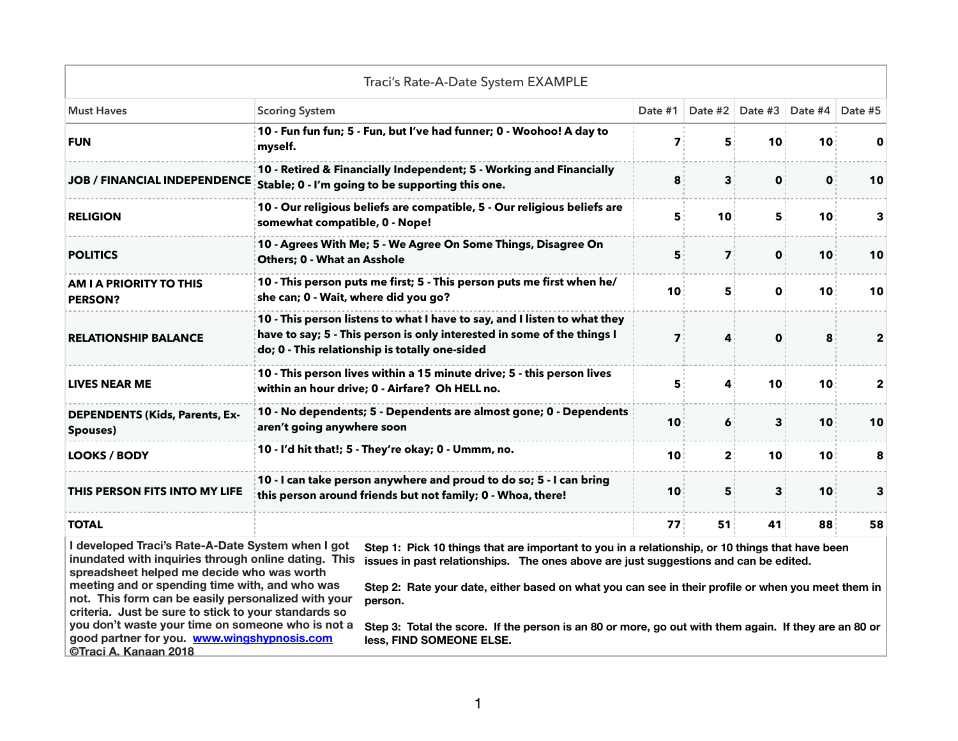|                                                                                                                                                                                                                                                                                                                                                                                                                                                       | Traci's Rate-A-Date System EXAMPLE                                                                                                                                                                                                                                                                                                                                                                                                            |                 |                 |    |                         |              |
|-------------------------------------------------------------------------------------------------------------------------------------------------------------------------------------------------------------------------------------------------------------------------------------------------------------------------------------------------------------------------------------------------------------------------------------------------------|-----------------------------------------------------------------------------------------------------------------------------------------------------------------------------------------------------------------------------------------------------------------------------------------------------------------------------------------------------------------------------------------------------------------------------------------------|-----------------|-----------------|----|-------------------------|--------------|
| <b>Must Haves</b>                                                                                                                                                                                                                                                                                                                                                                                                                                     | <b>Scoring System</b>                                                                                                                                                                                                                                                                                                                                                                                                                         |                 | Date #2         |    | Date #3 Date #4 Date #5 |              |
| <b>FUN</b>                                                                                                                                                                                                                                                                                                                                                                                                                                            | 10 - Fun fun fun; 5 - Fun, but I've had funner; 0 - Woohoo! A day to<br>myself.                                                                                                                                                                                                                                                                                                                                                               | $\mathbf{7}$    | 5               | 10 | 10                      |              |
| <b>JOB / FINANCIAL INDEPENDENCE</b>                                                                                                                                                                                                                                                                                                                                                                                                                   | 10 - Retired & Financially Independent; 5 - Working and Financially<br>Stable; 0 - I'm going to be supporting this one.                                                                                                                                                                                                                                                                                                                       | 8               | 3               | 0  | 0                       | 10           |
| <b>RELIGION</b>                                                                                                                                                                                                                                                                                                                                                                                                                                       | 10 - Our religious beliefs are compatible, 5 - Our religious beliefs are<br>somewhat compatible, 0 - Nope!                                                                                                                                                                                                                                                                                                                                    | 5               | 10              | 5  | 10                      |              |
| <b>POLITICS</b>                                                                                                                                                                                                                                                                                                                                                                                                                                       | 10 - Agrees With Me; 5 - We Agree On Some Things, Disagree On<br>Others; 0 - What an Asshole                                                                                                                                                                                                                                                                                                                                                  | 5               | $\mathbf{7}$    | 0  | 10                      | 10           |
| <b>AM I A PRIORITY TO THIS</b><br><b>PERSON?</b>                                                                                                                                                                                                                                                                                                                                                                                                      | 10 - This person puts me first; 5 - This person puts me first when he/<br>she can; 0 - Wait, where did you go?                                                                                                                                                                                                                                                                                                                                | 10              | 5               | 0  | 10                      | 10           |
| <b>RELATIONSHIP BALANCE</b>                                                                                                                                                                                                                                                                                                                                                                                                                           | 10 - This person listens to what I have to say, and I listen to what they<br>have to say; 5 - This person is only interested in some of the things I<br>do; 0 - This relationship is totally one-sided                                                                                                                                                                                                                                        | 7:              | 4               | 0  | 8                       | $\mathbf{2}$ |
| <b>LIVES NEAR ME</b>                                                                                                                                                                                                                                                                                                                                                                                                                                  | 10 - This person lives within a 15 minute drive; 5 - this person lives<br>within an hour drive; 0 - Airfare? Oh HELL no.                                                                                                                                                                                                                                                                                                                      | 5               | 4               | 10 | 10                      | 2            |
| <b>DEPENDENTS (Kids, Parents, Ex-</b><br>Spouses)                                                                                                                                                                                                                                                                                                                                                                                                     | 10 - No dependents; 5 - Dependents are almost gone; 0 - Dependents<br>aren't going anywhere soon                                                                                                                                                                                                                                                                                                                                              | 10              | 6               | 3  | 10                      | 10           |
| <b>LOOKS / BODY</b>                                                                                                                                                                                                                                                                                                                                                                                                                                   | 10 - I'd hit that!; 5 - They're okay; 0 - Ummm, no.                                                                                                                                                                                                                                                                                                                                                                                           | 10              | 2:              | 10 | 10                      | 8            |
| THIS PERSON FITS INTO MY LIFE                                                                                                                                                                                                                                                                                                                                                                                                                         | 10 - I can take person anywhere and proud to do so; 5 - I can bring<br>this person around friends but not family; 0 - Whoa, there!                                                                                                                                                                                                                                                                                                            |                 |                 | 3  | 10                      | 3            |
| <b>TOTAL</b>                                                                                                                                                                                                                                                                                                                                                                                                                                          |                                                                                                                                                                                                                                                                                                                                                                                                                                               | 77 <sub>1</sub> | 51 <sub>1</sub> | 41 | 88                      | 58           |
| I developed Traci's Rate-A-Date System when I got<br>inundated with inquiries through online dating. This<br>spreadsheet helped me decide who was worth<br>meeting and or spending time with, and who was<br>not. This form can be easily personalized with your<br>criteria. Just be sure to stick to your standards so<br>you don't waste your time on someone who is not a<br>good partner for you. www.wingshypnosis.com<br>©Traci A. Kanaan 2018 | Step 1: Pick 10 things that are important to you in a relationship, or 10 things that have been<br>issues in past relationships. The ones above are just suggestions and can be edited.<br>Step 2: Rate your date, either based on what you can see in their profile or when you meet them in<br>person.<br>Step 3: Total the score. If the person is an 80 or more, go out with them again. If they are an 80 or<br>less, FIND SOMEONE ELSE. |                 |                 |    |                         |              |